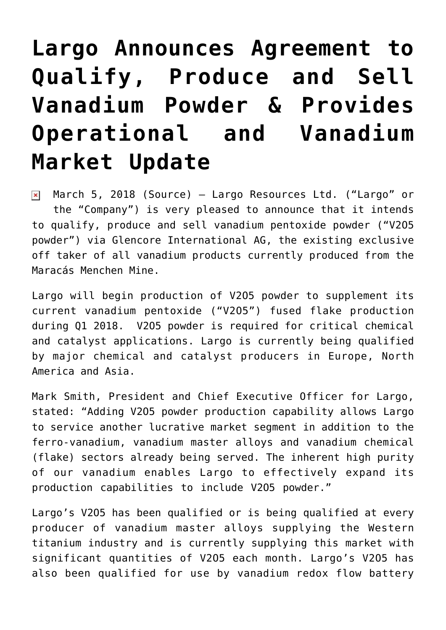## **[Largo Announces Agreement to](https://investorintel.com/markets/technology-metals/technology-metals-news/largo-announces-agreement-qualify-produce-sell-vanadium-powder-provides-operational-vanadium-market-update/) [Qualify, Produce and Sell](https://investorintel.com/markets/technology-metals/technology-metals-news/largo-announces-agreement-qualify-produce-sell-vanadium-powder-provides-operational-vanadium-market-update/) [Vanadium Powder & Provides](https://investorintel.com/markets/technology-metals/technology-metals-news/largo-announces-agreement-qualify-produce-sell-vanadium-powder-provides-operational-vanadium-market-update/) [Operational and Vanadium](https://investorintel.com/markets/technology-metals/technology-metals-news/largo-announces-agreement-qualify-produce-sell-vanadium-powder-provides-operational-vanadium-market-update/) [Market Update](https://investorintel.com/markets/technology-metals/technology-metals-news/largo-announces-agreement-qualify-produce-sell-vanadium-powder-provides-operational-vanadium-market-update/)**

March 5, 2018 ([Source](https://investorintel.com/iintel-members/largo-resources-ltd/)) — Largo Resources Ltd. ("Largo" or  $\pmb{\times}$ the "Company") is very pleased to announce that it intends to qualify, produce and sell vanadium pentoxide powder ("V2O5 powder") via Glencore International AG, the existing exclusive off taker of all vanadium products currently produced from the Maracás Menchen Mine.

Largo will begin production of V2O5 powder to supplement its current vanadium pentoxide ("V2O5") fused flake production during Q1 2018. V2O5 powder is required for critical chemical and catalyst applications. Largo is currently being qualified by major chemical and catalyst producers in Europe, North America and Asia.

Mark Smith, President and Chief Executive Officer for Largo, stated: "Adding V2O5 powder production capability allows Largo to service another lucrative market segment in addition to the ferro-vanadium, vanadium master alloys and vanadium chemical (flake) sectors already being served. The inherent high purity of our vanadium enables Largo to effectively expand its production capabilities to include V2O5 powder."

Largo's V2O5 has been qualified or is being qualified at every producer of vanadium master alloys supplying the Western titanium industry and is currently supplying this market with significant quantities of V2O5 each month. Largo's V2O5 has also been qualified for use by vanadium redox flow battery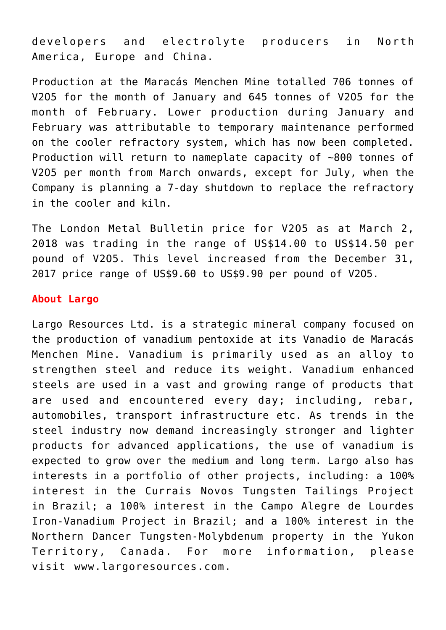developers and electrolyte producers in North America, Europe and China.

Production at the Maracás Menchen Mine totalled 706 tonnes of V2O5 for the month of January and 645 tonnes of V2O5 for the month of February. Lower production during January and February was attributable to temporary maintenance performed on the cooler refractory system, which has now been completed. Production will return to nameplate capacity of ~800 tonnes of V2O5 per month from March onwards, except for July, when the Company is planning a 7-day shutdown to replace the refractory in the cooler and kiln.

The London Metal Bulletin price for V2O5 as at March 2, 2018 was trading in the range of US\$14.00 to US\$14.50 per pound of V2O5. This level increased from the December 31, 2017 price range of US\$9.60 to US\$9.90 per pound of V2O5.

## **About Largo**

Largo Resources Ltd. is a strategic mineral company focused on the production of vanadium pentoxide at its Vanadio de Maracás Menchen Mine. Vanadium is primarily used as an alloy to strengthen steel and reduce its weight. Vanadium enhanced steels are used in a vast and growing range of products that are used and encountered every day; including, rebar, automobiles, transport infrastructure etc. As trends in the steel industry now demand increasingly stronger and lighter products for advanced applications, the use of vanadium is expected to grow over the medium and long term. Largo also has interests in a portfolio of other projects, including: a 100% interest in the Currais Novos Tungsten Tailings Project in Brazil; a 100% interest in the Campo Alegre de Lourdes Iron-Vanadium Project in Brazil; and a 100% interest in the Northern Dancer Tungsten-Molybdenum property in the Yukon Territory, Canada. For more information, please visit [www.largoresources.com](http://www.largoresources.com/).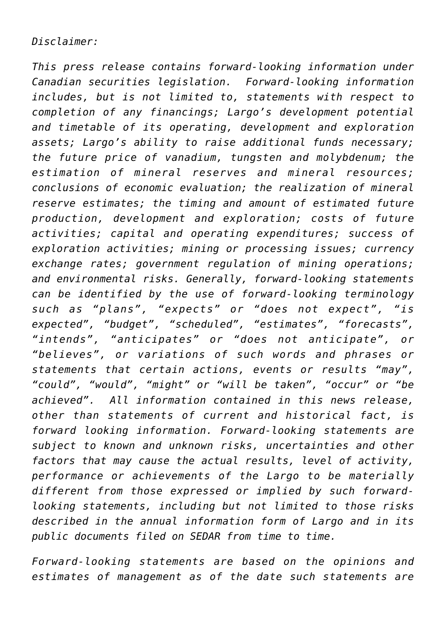*Disclaimer:*

*This press release contains forward-looking information under Canadian securities legislation. Forward-looking information includes, but is not limited to, statements with respect to completion of any financings; Largo's development potential and timetable of its operating, development and exploration assets; Largo's ability to raise additional funds necessary; the future price of vanadium, tungsten and molybdenum; the estimation of mineral reserves and mineral resources; conclusions of economic evaluation; the realization of mineral reserve estimates; the timing and amount of estimated future production, development and exploration; costs of future activities; capital and operating expenditures; success of exploration activities; mining or processing issues; currency exchange rates; government regulation of mining operations; and environmental risks. Generally, forward-looking statements can be identified by the use of forward-looking terminology such as "plans", "expects" or "does not expect", "is expected", "budget", "scheduled", "estimates", "forecasts", "intends", "anticipates" or "does not anticipate", or "believes", or variations of such words and phrases or statements that certain actions, events or results "may", "could", "would", "might" or "will be taken", "occur" or "be achieved". All information contained in this news release, other than statements of current and historical fact, is forward looking information. Forward-looking statements are subject to known and unknown risks, uncertainties and other factors that may cause the actual results, level of activity, performance or achievements of the Largo to be materially different from those expressed or implied by such forwardlooking statements, including but not limited to those risks described in the annual information form of Largo and in its public documents filed on SEDAR from time to time.*

*Forward-looking statements are based on the opinions and estimates of management as of the date such statements are*